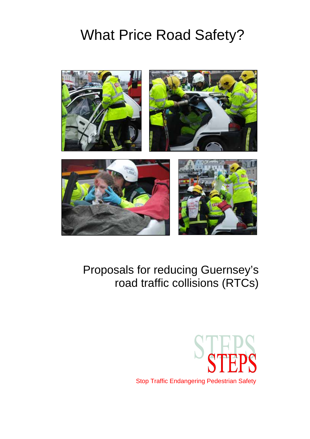

## Proposals for reducing Guernsey's road traffic collisions (RTCs)

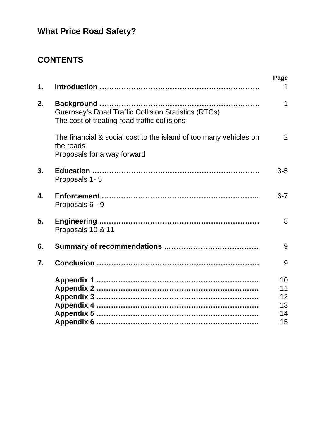## **CONTENTS**

| $\mathbf 1$ . |                                                                                                               | Page<br>1                  |
|---------------|---------------------------------------------------------------------------------------------------------------|----------------------------|
| 2.            | <b>Guernsey's Road Traffic Collision Statistics (RTCs)</b><br>The cost of treating road traffic collisions    | 1                          |
|               | The financial & social cost to the island of too many vehicles on<br>the roads<br>Proposals for a way forward | $\overline{2}$             |
| 3.            | Proposals 1-5                                                                                                 | $3-5$                      |
| 4.            | Proposals 6 - 9                                                                                               | $6 - 7$                    |
| 5.            | Proposals 10 & 11                                                                                             | 8                          |
| 6.            |                                                                                                               | 9                          |
| 7.            |                                                                                                               | 9                          |
|               |                                                                                                               | 10<br>11<br>12<br>13<br>14 |
|               |                                                                                                               | 15                         |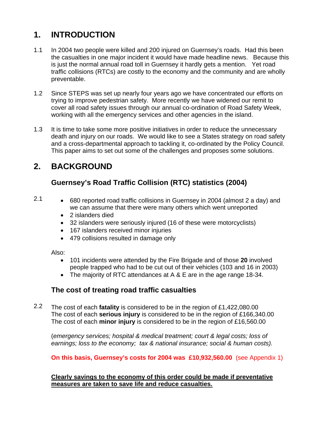## **1. INTRODUCTION**

- 1.1 In 2004 two people were killed and 200 injured on Guernsey's roads. Had this been the casualties in one major incident it would have made headline news. Because this is just the normal annual road toll in Guernsey it hardly gets a mention. Yet road traffic collisions (RTCs) are costly to the economy and the community and are wholly preventable.
- 1.2 Since STEPS was set up nearly four years ago we have concentrated our efforts on trying to improve pedestrian safety. More recently we have widened our remit to cover all road safety issues through our annual co-ordination of Road Safety Week, working with all the emergency services and other agencies in the island.
- 1.3 It is time to take some more positive initiatives in order to reduce the unnecessary death and injury on our roads. We would like to see a States strategy on road safety and a cross-departmental approach to tackling it, co-ordinated by the Policy Council. This paper aims to set out some of the challenges and proposes some solutions.

## **2. BACKGROUND**

## **Guernsey's Road Traffic Collision (RTC) statistics (2004)**

### 2.1

- 680 reported road traffic collisions in Guernsey in 2004 (almost 2 a day) and we can assume that there were many others which went unreported
	- 2 islanders died
	- 32 islanders were seriously injured (16 of these were motorcyclists)
	- 167 islanders received minor injuries
	- 479 collisions resulted in damage only

Also:

- 101 incidents were attended by the Fire Brigade and of those **20** involved people trapped who had to be cut out of their vehicles (103 and 16 in 2003)
- The majority of RTC attendances at A & E are in the age range 18-34.

## **The cost of treating road traffic casualties**

2.2 The cost of each **fatality** is considered to be in the region of £1,422,080.00 The cost of each **serious injury** is considered to be in the region of £166,340.00 The cost of each **minor injury** is considered to be in the region of £16,560.00

(*emergency services; hospital & medical treatment; court & legal costs; loss of earnings; loss to the economy; tax & national insurance; social & human costs).*

**On this basis, Guernsey's costs for 2004 was £10,932,560.00** (see Appendix 1)

### **Clearly savings to the economy of this order could be made if preventative measures are taken to save life and reduce casualties.**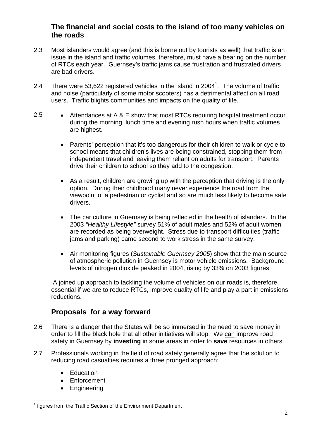## **The financial and social costs to the island of too many vehicles on the roads**

- 2.3 Most islanders would agree (and this is borne out by tourists as well) that traffic is an issue in the island and traffic volumes, therefore, must have a bearing on the number of RTCs each year. Guernsey's traffic jams cause frustration and frustrated drivers are bad drivers.
- 2.4 There were 53,622 registered vehicles in the island in 2004<sup>1</sup>. The volume of traffic and noise (particularly of some motor scooters) has a detrimental affect on all road users. Traffic blights communities and impacts on the quality of life.
- 2.5 Attendances at A & E show that most RTCs requiring hospital treatment occur during the morning, lunch time and evening rush hours when traffic volumes are highest.
	- Parents' perception that it's too dangerous for their children to walk or cycle to school means that children's lives are being constrained, stopping them from independent travel and leaving them reliant on adults for transport. Parents drive their children to school so they add to the congestion.
	- As a result, children are growing up with the perception that driving is the only option. During their childhood many never experience the road from the viewpoint of a pedestrian or cyclist and so are much less likely to become safe drivers.
	- The car culture in Guernsey is being reflected in the health of islanders. In the 2003 *"Healthy Lifestyle"* survey 51% of adult males and 52% of adult women are recorded as being overweight. Stress due to transport difficulties (traffic jams and parking) came second to work stress in the same survey.
	- Air monitoring figures (*Sustainable Guernsey 2005*) show that the main source of atmospheric pollution in Guernsey is motor vehicle emissions. Background levels of nitrogen dioxide peaked in 2004, rising by 33% on 2003 figures.

 A joined up approach to tackling the volume of vehicles on our roads is, therefore, essential if we are to reduce RTCs, improve quality of life and play a part in emissions reductions.

## **Proposals for a way forward**

- 2.6 There is a danger that the States will be so immersed in the need to save money in order to fill the black hole that all other initiatives will stop. We can improve road safety in Guernsey by **investing** in some areas in order to **save** resources in others.
- 2.7 Professionals working in the field of road safety generally agree that the solution to reducing road casualties requires a three pronged approach:
	- Education
	- **Enforcement**
	- Engineering

 $\overline{a}$ <sup>1</sup> figures from the Traffic Section of the Environment Department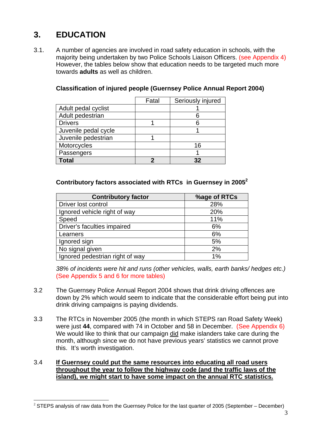## **3. EDUCATION**

3.1. A number of agencies are involved in road safety education in schools, with the majority being undertaken by two Police Schools Liaison Officers. (see Appendix 4) However, the tables below show that education needs to be targeted much more towards **adults** as well as children.

|                      | Fatal | Seriously injured |
|----------------------|-------|-------------------|
| Adult pedal cyclist  |       |                   |
| Adult pedestrian     |       |                   |
| <b>Drivers</b>       |       |                   |
| Juvenile pedal cycle |       |                   |
| Juvenile pedestrian  |       |                   |
| Motorcycles          |       | 16                |
| Passengers           |       |                   |
| Total                |       | つつ                |

## **Classification of injured people (Guernsey Police Annual Report 2004)**

### **Contributory factors associated with RTCs in Guernsey in 20052**

| <b>Contributory factor</b>      | %age of RTCs |
|---------------------------------|--------------|
| Driver lost control             | 28%          |
| Ignored vehicle right of way    | 20%          |
| Speed                           | 11%          |
| Driver's faculties impaired     | 6%           |
| Learners                        | 6%           |
| Ignored sign                    | 5%           |
| No signal given                 | 2%           |
| Ignored pedestrian right of way | 1%           |

*38% of incidents were hit and runs (other vehicles, walls, earth banks/ hedges etc.)*  (See Appendix 5 and 6 for more tables)

- 3.2 The Guernsey Police Annual Report 2004 shows that drink driving offences are down by 2% which would seem to indicate that the considerable effort being put into drink driving campaigns is paying dividends.
- 3.3 The RTCs in November 2005 (the month in which STEPS ran Road Safety Week) were just **44**, compared with 74 in October and 58 in December. (See Appendix 6) We would like to think that our campaign did make islanders take care during the month, although since we do not have previous years' statistics we cannot prove this. It's worth investigation.

#### 3.4 **If Guernsey could put the same resources into educating all road users throughout the year to follow the highway code (and the traffic laws of the island), we might start to have some impact on the annual RTC statistics.**

 $\overline{a}$  $2$  STEPS analysis of raw data from the Guernsey Police for the last quarter of 2005 (September – December)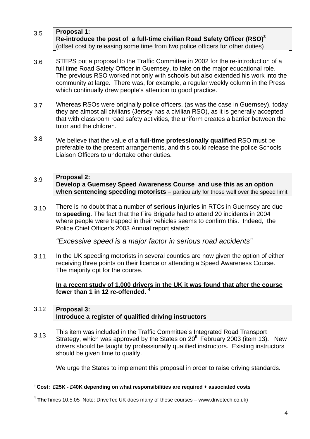#### 3.5 **Proposal 1: Re-introduce the post of a full-time civilian Road Safety Officer (RSO)3**  (offset cost by releasing some time from two police officers for other duties)

- 3.6 STEPS put a proposal to the Traffic Committee in 2002 for the re-introduction of a full time Road Safety Officer in Guernsey, to take on the major educational role. The previous RSO worked not only with schools but also extended his work into the community at large. There was, for example, a regular weekly column in the Press which continually drew people's attention to good practice.
- 3.7 Whereas RSOs were originally police officers, (as was the case in Guernsey), today they are almost all civilians (Jersey has a civilian RSO), as it is generally accepted that with classroom road safety activities, the uniform creates a barrier between the tutor and the children.
- 3.8 We believe that the value of a **full-time professionally qualified** RSO must be preferable to the present arrangements, and this could release the police Schools Liaison Officers to undertake other duties.

#### 3.9 **Proposal 2: Develop a Guernsey Speed Awareness Course and use this as an option when sentencing speeding motorists –** particularly for those well over the speed limit

3.10 There is no doubt that a number of **serious injuries** in RTCs in Guernsey are due to **speeding**. The fact that the Fire Brigade had to attend 20 incidents in 2004 where people were trapped in their vehicles seems to confirm this. Indeed, the Police Chief Officer's 2003 Annual report stated:

*"Excessive speed is a major factor in serious road accidents"* 

3.11 In the UK speeding motorists in several counties are now given the option of either receiving three points on their licence or attending a Speed Awareness Course. The majority opt for the course*.* 

### **In a recent study of 1,000 drivers in the UK it was found that after the course fewer than 1 in 12 re-offended. 4**

#### 3.12 **Proposal 3: Introduce a register of qualified driving instructors**

3.13 This item was included in the Traffic Committee's Integrated Road Transport Strategy, which was approved by the States on  $20<sup>th</sup>$  February 2003 (item 13). New drivers should be taught by professionally qualified instructors. Existing instructors should be given time to qualify.

We urge the States to implement this proposal in order to raise driving standards.

 $\overline{a}$ <sup>3</sup> **Cost: £25K - £40K depending on what responsibilities are required + associated costs** 

<sup>4</sup> **The**Times 10.5.05 Note: DriveTec UK does many of these courses – www.drivetech.co.uk)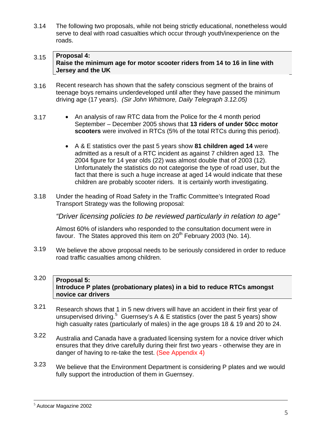3.14 The following two proposals, while not being strictly educational, nonetheless would serve to deal with road casualties which occur through youth/inexperience on the roads.

#### 3.15 **Proposal 4: Raise the minimum age for motor scooter riders from 14 to 16 in line with Jersey and the UK**

- 3.16 Recent research has shown that the safety conscious segment of the brains of teenage boys remains underdeveloped until after they have passed the minimum driving age (17 years). *(Sir John Whitmore, Daily Telegraph 3.12.05)*
- 3.17 • An analysis of raw RTC data from the Police for the 4 month period September – December 2005 shows that **13 riders of under 50cc motor scooters** were involved in RTCs (5% of the total RTCs during this period).
	- A & E statistics over the past 5 years show **81 children aged 14** were admitted as a result of a RTC incident as against 7 children aged 13. The 2004 figure for 14 year olds (22) was almost double that of 2003 (12). Unfortunately the statistics do not categorise the type of road user, but the fact that there is such a huge increase at aged 14 would indicate that these children are probably scooter riders. It is certainly worth investigating.
- 3.18 Under the heading of Road Safety in the Traffic Committee's Integrated Road Transport Strategy was the following proposal:

*"Driver licensing policies to be reviewed particularly in relation to age"* 

Almost 60% of islanders who responded to the consultation document were in favour. The States approved this item on  $20<sup>th</sup>$  February 2003 (No. 14).

3.19 We believe the above proposal needs to be seriously considered in order to reduce road traffic casualties among children.

#### 3.20 **Proposal 5: Introduce P plates (probationary plates) in a bid to reduce RTCs amongst novice car drivers**

- 3.21 Research shows that 1 in 5 new drivers will have an accident in their first year of unsupervised driving.<sup>5</sup> Guernsey's A & E statistics (over the past 5 years) show high casualty rates (particularly of males) in the age groups 18 & 19 and 20 to 24.
- 3.22 Australia and Canada have a graduated licensing system for a novice driver which ensures that they drive carefully during their first two years - otherwise they are in danger of having to re-take the test. (See Appendix 4)
- 3.23 We believe that the Environment Department is considering P plates and we would fully support the introduction of them in Guernsey.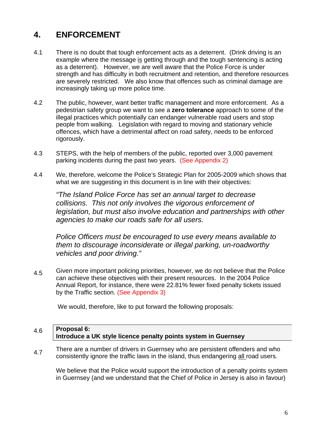#### **4. ENFORCEMENT**

- 4.1 There is no doubt that tough enforcement acts as a deterrent. (Drink driving is an example where the message is getting through and the tough sentencing is acting as a deterrent). However, we are well aware that the Police Force is under strength and has difficulty in both recruitment and retention, and therefore resources are severely restricted. We also know that offences such as criminal damage are increasingly taking up more police time.
- 4.2 The public, however, want better traffic management and more enforcement. As a pedestrian safety group we want to see a **zero tolerance** approach to some of the illegal practices which potentially can endanger vulnerable road users and stop people from walking. Legislation with regard to moving and stationary vehicle offences, which have a detrimental affect on road safety, needs to be enforced rigorously.
- 4.3 STEPS, with the help of members of the public, reported over 3,000 pavement parking incidents during the past two years. (See Appendix 2)
- 4.4 We, therefore, welcome the Police's Strategic Plan for 2005-2009 which shows that what we are suggesting in this document is in line with their objectives:

*"The Island Police Force has set an annual target to decrease collisions. This not only involves the vigorous enforcement of legislation, but must also involve education and partnerships with other agencies to make our roads safe for all users.* 

*Police Officers must be encouraged to use every means available to them to discourage inconsiderate or illegal parking, un-roadworthy vehicles and poor driving."* 

4.5 Given more important policing priorities, however, we do not believe that the Police can achieve these objectives with their present resources. In the 2004 Police Annual Report, for instance, there were 22.81% fewer fixed penalty tickets issued by the Traffic section. (See Appendix 3)

We would, therefore, like to put forward the following proposals:

#### 4.6 **Proposal 6: Introduce a UK style licence penalty points system in Guernsey**

4.7 There are a number of drivers in Guernsey who are persistent offenders and who consistently ignore the traffic laws in the island, thus endangering all road users.

We believe that the Police would support the introduction of a penalty points system in Guernsey (and we understand that the Chief of Police in Jersey is also in favour)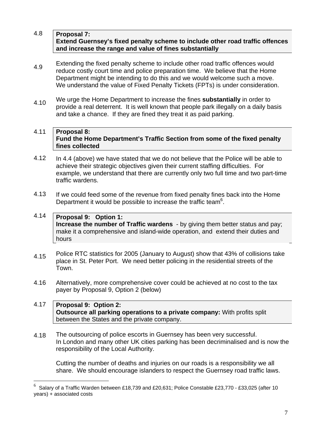#### 4.8 **Proposal 7: Extend Guernsey's fixed penalty scheme to include other road traffic offences and increase the range and value of fines substantially**

- 4.9 Extending the fixed penalty scheme to include other road traffic offences would reduce costly court time and police preparation time. We believe that the Home Department might be intending to do this and we would welcome such a move. We understand the value of Fixed Penalty Tickets (FPTs) is under consideration.
- 4.10 We urge the Home Department to increase the fines **substantially** in order to provide a real deterrent. It is well known that people park illegally on a daily basis and take a chance. If they are fined they treat it as paid parking.

#### 4.11 **Proposal 8: Fund the Home Department's Traffic Section from some of the fixed penalty fines collected**

- 4.12 In 4.4 (above) we have stated that we do not believe that the Police will be able to achieve their strategic objectives given their current staffing difficulties. For example, we understand that there are currently only two full time and two part-time traffic wardens.
- 4.13 If we could feed some of the revenue from fixed penalty fines back into the Home Department it would be possible to increase the traffic team<sup>6</sup>.

#### 4.14 **Proposal 9: Option 1: Increase the number of Traffic wardens** - by giving them better status and pay; make it a comprehensive and island-wide operation, and extend their duties and hours

- 4.15 Police RTC statistics for 2005 (January to August) show that 43% of collisions take place in St. Peter Port. We need better policing in the residential streets of the Town.
- 4.16 Alternatively, more comprehensive cover could be achieved at no cost to the tax payer by Proposal 9, Option 2 (below)

#### 4.17 **Proposal 9: Option 2: Outsource all parking operations to a private company:** With profits split between the States and the private company.

4.18 The outsourcing of police escorts in Guernsey has been very successful. In London and many other UK cities parking has been decriminalised and is now the responsibility of the Local Authority.

Cutting the number of deaths and injuries on our roads is a responsibility we all share. We should encourage islanders to respect the Guernsey road traffic laws.

 $\overline{a}$ 

<sup>6</sup> Salary of a Traffic Warden between £18,739 and £20,631; Police Constable £23,770 - £33,025 (after 10 years) + associated costs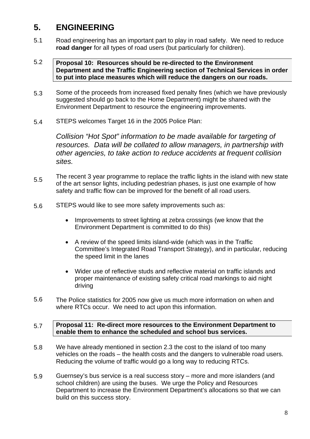#### **5. ENGINEERING**

5.1 Road engineering has an important part to play in road safety. We need to reduce **road danger** for all types of road users (but particularly for children).

#### 5.2 **Proposal 10: Resources should be re-directed to the Environment Department and the Traffic Engineering section of Technical Services in order to put into place measures which will reduce the dangers on our roads.**

- 5.3 Some of the proceeds from increased fixed penalty fines (which we have previously suggested should go back to the Home Department) might be shared with the Environment Department to resource the engineering improvements.
- 5.4 STEPS welcomes Target 16 in the 2005 Police Plan:

*Collision "Hot Spot" information to be made available for targeting of resources. Data will be collated to allow managers, in partnership with other agencies, to take action to reduce accidents at frequent collision sites.* 

- 5.5 The recent 3 year programme to replace the traffic lights in the island with new state of the art sensor lights, including pedestrian phases, is just one example of how safety and traffic flow can be improved for the benefit of all road users.
- 5.6 STEPS would like to see more safety improvements such as:
	- Improvements to street lighting at zebra crossings (we know that the Environment Department is committed to do this)
	- A review of the speed limits island-wide (which was in the Traffic Committee's Integrated Road Transport Strategy), and in particular, reducing the speed limit in the lanes
	- Wider use of reflective studs and reflective material on traffic islands and proper maintenance of existing safety critical road markings to aid night driving
- 5.6 The Police statistics for 2005 now give us much more information on when and where RTCs occur. We need to act upon this information.

#### 5.7 **Proposal 11: Re-direct more resources to the Environment Department to enable them to enhance the scheduled and school bus services.**

- 5.8 We have already mentioned in section 2.3 the cost to the island of too many vehicles on the roads – the health costs and the dangers to vulnerable road users. Reducing the volume of traffic would go a long way to reducing RTCs.
- 5.9 Guernsey's bus service is a real success story – more and more islanders (and school children) are using the buses. We urge the Policy and Resources Department to increase the Environment Department's allocations so that we can build on this success story.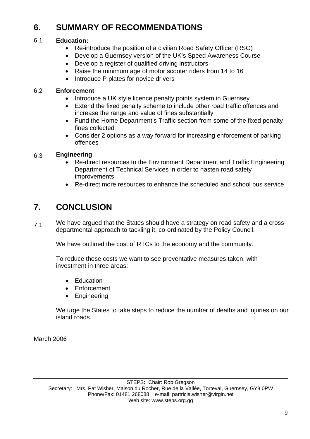#### **6. SUMMARY OF RECOMMENDATIONS**

#### 6.1 **Education:**

- Re-introduce the position of a civilian Road Safety Officer (RSO)
- Develop a Guernsey version of the UK's Speed Awareness Course
- Develop a register of qualified driving instructors
- Raise the minimum age of motor scooter riders from 14 to 16
- Introduce P plates for novice drivers

#### 6.2 **Enforcement**

- Introduce a UK style licence penalty points system in Guernsey
- Extend the fixed penalty scheme to include other road traffic offences and increase the range and value of fines substantially
- Fund the Home Department's Traffic section from some of the fixed penalty fines collected
- Consider 2 options as a way forward for increasing enforcement of parking offences

#### 6.3 **Engineering**

- Re-direct resources to the Environment Department and Traffic Engineering Department of Technical Services in order to hasten road safety improvements
- Re-direct more resources to enhance the scheduled and school bus service

#### **7. CONCLUSION**

7.1 We have argued that the States should have a strategy on road safety and a crossdepartmental approach to tackling it, co-ordinated by the Policy Council.

We have outlined the cost of RTCs to the economy and the community.

To reduce these costs we want to see preventative measures taken, with investment in three areas:

- Education
- Enforcement
- Engineering

We urge the States to take steps to reduce the number of deaths and injuries on our island roads.

March 2006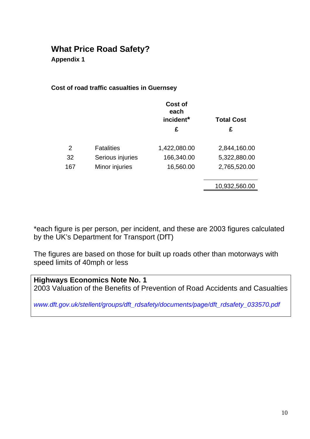**Appendix 1** 

## **Cost of road traffic casualties in Guernsey**

|     |                   | Cost of<br>each<br>incident*<br>£ | <b>Total Cost</b><br>£ |
|-----|-------------------|-----------------------------------|------------------------|
| 2   | <b>Fatalities</b> | 1,422,080.00                      | 2,844,160.00           |
| 32  | Serious injuries  | 166,340.00                        | 5,322,880.00           |
| 167 | Minor injuries    | 16,560.00                         | 2,765,520.00           |
|     |                   |                                   | 10,932,560.00          |
|     |                   |                                   |                        |

\*each figure is per person, per incident, and these are 2003 figures calculated by the UK's Department for Transport (DfT)

The figures are based on those for built up roads other than motorways with speed limits of 40mph or less

| <b>Highways Economics Note No. 1</b>                                          |  |
|-------------------------------------------------------------------------------|--|
| 2003 Valuation of the Benefits of Prevention of Road Accidents and Casualties |  |

*www.dft.gov.uk/stellent/groups/dft\_rdsafety/documents/page/dft\_rdsafety\_033570.pdf*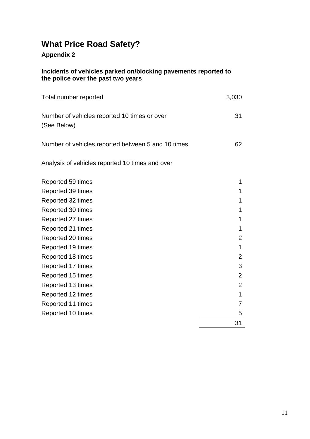## **Appendix 2**

### **Incidents of vehicles parked on/blocking pavements reported to the police over the past two years**

| Total number reported                                       | 3,030 |
|-------------------------------------------------------------|-------|
| Number of vehicles reported 10 times or over<br>(See Below) | -31   |
| Number of vehicles reported between 5 and 10 times          | 62.   |

Analysis of vehicles reported 10 times and over

| Reported 59 times |                |
|-------------------|----------------|
| Reported 39 times |                |
| Reported 32 times | 1              |
| Reported 30 times | 1              |
| Reported 27 times | 1              |
| Reported 21 times | 1              |
| Reported 20 times | 2              |
| Reported 19 times | 1              |
| Reported 18 times | $\overline{2}$ |
| Reported 17 times | 3              |
| Reported 15 times | 2              |
| Reported 13 times | $\overline{2}$ |
| Reported 12 times | 1              |
| Reported 11 times | 7              |
| Reported 10 times | 5              |
|                   | 31             |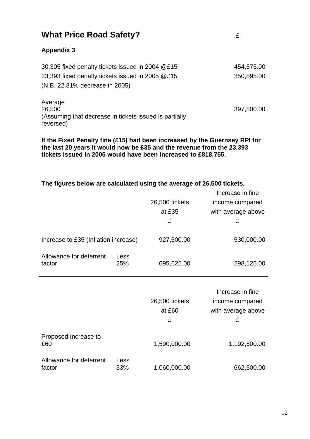| <b>What Price Road Safety?</b>                                                                                                         | £                        |
|----------------------------------------------------------------------------------------------------------------------------------------|--------------------------|
| <b>Appendix 3</b>                                                                                                                      |                          |
| 30,305 fixed penalty tickets issued in 2004 @£15<br>23,393 fixed penalty tickets issued in 2005 @£15<br>(N.B. 22.81% decrease in 2005) | 454,575.00<br>350,895.00 |
| Average<br>26,500<br>(Assuming that decrease in tickets issued is partially<br>reversed)                                               | 397,500.00               |

**If the Fixed Penalty fine (£15) had been increased by the Guernsey RPI for the last 20 years it would now be £35 and the revenue from the 23,393 tickets issued in 2005 would have been increased to £818,755.** 

## **The figures below are calculated using the average of 26,500 tickets.**

|                                      |             |                | Increase in fine   |
|--------------------------------------|-------------|----------------|--------------------|
|                                      |             | 26,500 tickets | income compared    |
|                                      |             | at £35         | with average above |
|                                      |             | £              | £                  |
|                                      |             |                |                    |
| Increase to £35 (Inflation increase) |             | 927,500.00     | 530,000.00         |
|                                      |             |                |                    |
| Allowance for deterrent<br>factor    | Less<br>25% |                |                    |
|                                      |             | 695,625.00     | 298,125.00         |
|                                      |             |                |                    |
|                                      |             |                |                    |
|                                      |             |                |                    |
|                                      |             |                | Increase in fine   |
|                                      |             | 26,500 tickets | income compared    |
|                                      |             | at £60         | with average above |
|                                      |             | £              | £                  |
|                                      |             |                |                    |
| Proposed Increase to<br>£60          |             | 1,590,000.00   | 1,192,500.00       |
|                                      |             |                |                    |
| Allowance for deterrent<br>factor    | Less<br>33% | 1,060,000.00   | 662,500.00         |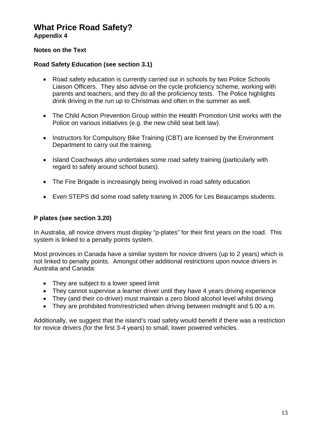**Appendix 4** 

### **Notes on the Text**

### **Road Safety Education (see section 3.1)**

- Road safety education is currently carried out in schools by two Police Schools Liaison Officers. They also advise on the cycle proficiency scheme, working with parents and teachers, and they do all the proficiency tests. The Police highlights drink driving in the run up to Christmas and often in the summer as well.
- The Child Action Prevention Group within the Health Promotion Unit works with the Police on various initiatives (e.g. the new child seat belt law).
- Instructors for Compulsory Bike Training (CBT) are licensed by the Environment Department to carry out the training.
- Island Coachways also undertakes some road safety training (particularly with regard to safety around school buses).
- The Fire Brigade is increasingly being involved in road safety education
- Even STEPS did some road safety training in 2005 for Les Beaucamps students.

### **P plates (see section 3.20)**

In Australia, all novice drivers must display "p-plates" for their first years on the road. This system is linked to a penalty points system.

Most provinces in Canada have a similar system for novice drivers (up to 2 years) which is not linked to penalty points. Amongst other additional restrictions upon novice drivers in Australia and Canada:

- They are subject to a lower speed limit
- They cannot supervise a learner driver until they have 4 years driving experience
- They (and their co-driver) must maintain a zero blood alcohol level whilst driving
- They are prohibited from/restricted when driving between midnight and 5.00 a.m.

Additionally, we suggest that the island's road safety would benefit if there was a restriction for novice drivers (for the first 3-4 years) to small, lower powered vehicles.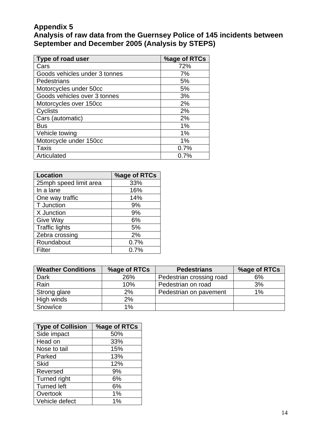## **Appendix 5**

**Analysis of raw data from the Guernsey Police of 145 incidents between September and December 2005 (Analysis by STEPS)** 

| Type of road user             | %age of RTCs |
|-------------------------------|--------------|
| Cars                          | 72%          |
| Goods vehicles under 3 tonnes | 7%           |
| Pedestrians                   | 5%           |
| Motorcycles under 50cc        | 5%           |
| Goods vehicles over 3 tonnes  | 3%           |
| Motorcycles over 150cc        | 2%           |
| Cyclists                      | 2%           |
| Cars (automatic)              | 2%           |
| <b>Bus</b>                    | 1%           |
| Vehicle towing                | 1%           |
| Motorcycle under 150cc        | 1%           |
| Taxis                         | 0.7%         |
| Articulated                   | 0.7%         |

| <b>Location</b>        | %age of RTCs |
|------------------------|--------------|
| 25mph speed limit area | 33%          |
| In a lane              | 16%          |
| One way traffic        | 14%          |
| T Junction             | 9%           |
| X Junction             | 9%           |
| Give Way               | 6%           |
| <b>Traffic lights</b>  | 5%           |
| Zebra crossing         | 2%           |
| Roundabout             | 0.7%         |
| Filter                 | 0.7%         |

| <b>Weather Conditions</b> | %age of RTCs | <b>Pedestrians</b>       | %age of RTCs |
|---------------------------|--------------|--------------------------|--------------|
| Dark                      | 26%          | Pedestrian crossing road | 6%           |
| Rain                      | 10%          | Pedestrian on road       | 3%           |
| Strong glare              | 2%           | Pedestrian on pavement   | 1%           |
| High winds                | 2%           |                          |              |
| Snow/ice                  | 1%           |                          |              |

| <b>Type of Collision</b> | %age of RTCs |
|--------------------------|--------------|
| Side impact              | 50%          |
| Head on                  | 33%          |
| Nose to tail             | 15%          |
| Parked                   | 13%          |
| <b>Skid</b>              | 12%          |
| Reversed                 | 9%           |
| Turned right             | 6%           |
| <b>Turned left</b>       | 6%           |
| Overtook                 | 1%           |
| Vehicle defect           | $1\%$        |